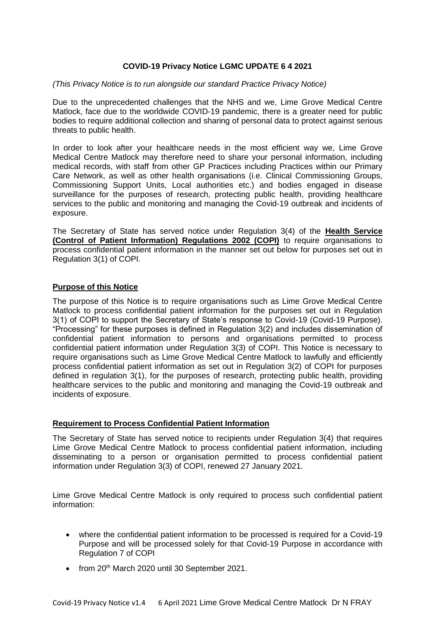## **COVID-19 Privacy Notice LGMC UPDATE 6 4 2021**

#### *(This Privacy Notice is to run alongside our standard Practice Privacy Notice)*

Due to the unprecedented challenges that the NHS and we, Lime Grove Medical Centre Matlock, face due to the worldwide COVID-19 pandemic, there is a greater need for public bodies to require additional collection and sharing of personal data to protect against serious threats to public health.

In order to look after your healthcare needs in the most efficient way we, Lime Grove Medical Centre Matlock may therefore need to share your personal information, including medical records, with staff from other GP Practices including Practices within our Primary Care Network, as well as other health organisations (i.e. Clinical Commissioning Groups, Commissioning Support Units, Local authorities etc.) and bodies engaged in disease surveillance for the purposes of research, protecting public health, providing healthcare services to the public and monitoring and managing the Covid-19 outbreak and incidents of exposure.

The Secretary of State has served notice under Regulation 3(4) of the **Health Service (Control of Patient Information) Regulations 2002 (COPI)** to require organisations to process confidential patient information in the manner set out below for purposes set out in Regulation 3(1) of COPI.

## **Purpose of this Notice**

The purpose of this Notice is to require organisations such as Lime Grove Medical Centre Matlock to process confidential patient information for the purposes set out in Regulation 3(1) of COPI to support the Secretary of State's response to Covid-19 (Covid-19 Purpose). "Processing" for these purposes is defined in Regulation 3(2) and includes dissemination of confidential patient information to persons and organisations permitted to process confidential patient information under Regulation 3(3) of COPI. This Notice is necessary to require organisations such as Lime Grove Medical Centre Matlock to lawfully and efficiently process confidential patient information as set out in Regulation 3(2) of COPI for purposes defined in regulation 3(1), for the purposes of research, protecting public health, providing healthcare services to the public and monitoring and managing the Covid-19 outbreak and incidents of exposure.

#### **Requirement to Process Confidential Patient Information**

The Secretary of State has served notice to recipients under Regulation 3(4) that requires Lime Grove Medical Centre Matlock to process confidential patient information, including disseminating to a person or organisation permitted to process confidential patient information under Regulation 3(3) of COPI, renewed 27 January 2021.

Lime Grove Medical Centre Matlock is only required to process such confidential patient information:

- where the confidential patient information to be processed is required for a Covid-19 Purpose and will be processed solely for that Covid-19 Purpose in accordance with Regulation 7 of COPI
- from 20<sup>th</sup> March 2020 until 30 September 2021.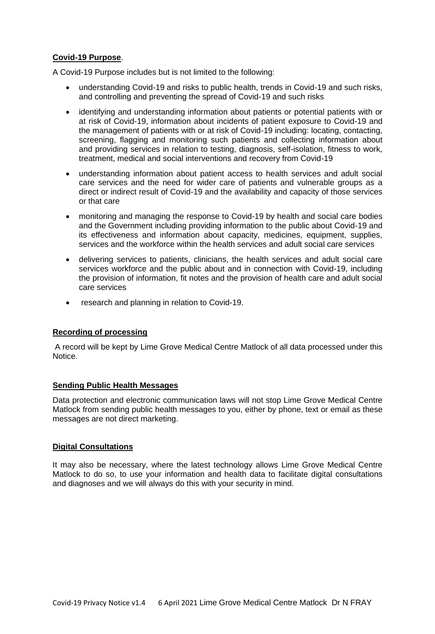# **Covid-19 Purpose**.

A Covid-19 Purpose includes but is not limited to the following:

- understanding Covid-19 and risks to public health, trends in Covid-19 and such risks, and controlling and preventing the spread of Covid-19 and such risks
- identifying and understanding information about patients or potential patients with or at risk of Covid-19, information about incidents of patient exposure to Covid-19 and the management of patients with or at risk of Covid-19 including: locating, contacting, screening, flagging and monitoring such patients and collecting information about and providing services in relation to testing, diagnosis, self-isolation, fitness to work, treatment, medical and social interventions and recovery from Covid-19
- understanding information about patient access to health services and adult social care services and the need for wider care of patients and vulnerable groups as a direct or indirect result of Covid-19 and the availability and capacity of those services or that care
- monitoring and managing the response to Covid-19 by health and social care bodies and the Government including providing information to the public about Covid-19 and its effectiveness and information about capacity, medicines, equipment, supplies, services and the workforce within the health services and adult social care services
- delivering services to patients, clinicians, the health services and adult social care services workforce and the public about and in connection with Covid-19, including the provision of information, fit notes and the provision of health care and adult social care services
- research and planning in relation to Covid-19.

# **Recording of processing**

A record will be kept by Lime Grove Medical Centre Matlock of all data processed under this Notice.

#### **Sending Public Health Messages**

Data protection and electronic communication laws will not stop Lime Grove Medical Centre Matlock from sending public health messages to you, either by phone, text or email as these messages are not direct marketing.

#### **Digital Consultations**

It may also be necessary, where the latest technology allows Lime Grove Medical Centre Matlock to do so, to use your information and health data to facilitate digital consultations and diagnoses and we will always do this with your security in mind.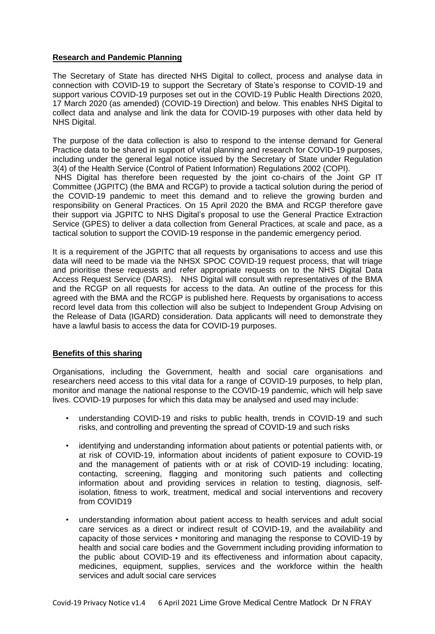## **Research and Pandemic Planning**

The Secretary of State has directed NHS Digital to collect, process and analyse data in connection with COVID-19 to support the Secretary of State's response to COVID-19 and support various COVID-19 purposes set out in the COVID-19 Public Health Directions 2020, 17 March 2020 (as amended) (COVID-19 Direction) and below. This enables NHS Digital to collect data and analyse and link the data for COVID-19 purposes with other data held by NHS Digital.

The purpose of the data collection is also to respond to the intense demand for General Practice data to be shared in support of vital planning and research for COVID-19 purposes, including under the general legal notice issued by the Secretary of State under Regulation 3(4) of the Health Service (Control of Patient Information) Regulations 2002 (COPI). NHS Digital has therefore been requested by the joint co-chairs of the Joint GP IT

Committee (JGPITC) (the BMA and RCGP) to provide a tactical solution during the period of the COVID-19 pandemic to meet this demand and to relieve the growing burden and responsibility on General Practices. On 15 April 2020 the BMA and RCGP therefore gave their support via JGPITC to NHS Digital's proposal to use the General Practice Extraction Service (GPES) to deliver a data collection from General Practices, at scale and pace, as a tactical solution to support the COVID-19 response in the pandemic emergency period.

It is a requirement of the JGPITC that all requests by organisations to access and use this data will need to be made via the NHSX SPOC COVID-19 request process, that will triage and prioritise these requests and refer appropriate requests on to the NHS Digital Data Access Request Service (DARS). NHS Digital will consult with representatives of the BMA and the RCGP on all requests for access to the data. An outline of the process for this agreed with the BMA and the RCGP is published here. Requests by organisations to access record level data from this collection will also be subject to Independent Group Advising on the Release of Data (IGARD) consideration. Data applicants will need to demonstrate they have a lawful basis to access the data for COVID-19 purposes.

# **Benefits of this sharing**

Organisations, including the Government, health and social care organisations and researchers need access to this vital data for a range of COVID-19 purposes, to help plan, monitor and manage the national response to the COVID-19 pandemic, which will help save lives. COVID-19 purposes for which this data may be analysed and used may include:

- understanding COVID-19 and risks to public health, trends in COVID-19 and such risks, and controlling and preventing the spread of COVID-19 and such risks
- identifying and understanding information about patients or potential patients with, or at risk of COVID-19, information about incidents of patient exposure to COVID-19 and the management of patients with or at risk of COVID-19 including: locating, contacting, screening, flagging and monitoring such patients and collecting information about and providing services in relation to testing, diagnosis, selfisolation, fitness to work, treatment, medical and social interventions and recovery from COVID19
- understanding information about patient access to health services and adult social care services as a direct or indirect result of COVID-19, and the availability and capacity of those services • monitoring and managing the response to COVID-19 by health and social care bodies and the Government including providing information to the public about COVID-19 and its effectiveness and information about capacity, medicines, equipment, supplies, services and the workforce within the health services and adult social care services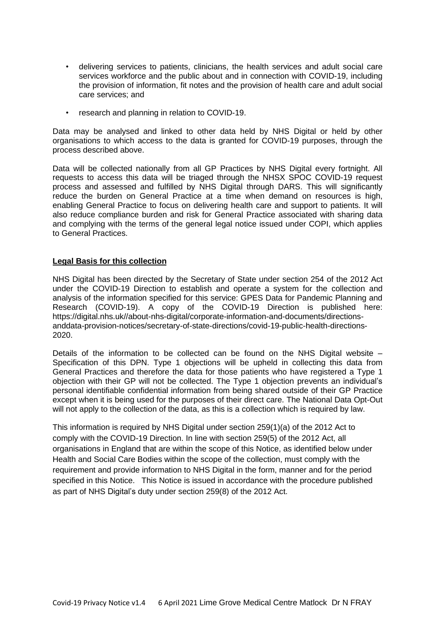- delivering services to patients, clinicians, the health services and adult social care services workforce and the public about and in connection with COVID-19, including the provision of information, fit notes and the provision of health care and adult social care services; and
- research and planning in relation to COVID-19.

Data may be analysed and linked to other data held by NHS Digital or held by other organisations to which access to the data is granted for COVID-19 purposes, through the process described above.

Data will be collected nationally from all GP Practices by NHS Digital every fortnight. All requests to access this data will be triaged through the NHSX SPOC COVID-19 request process and assessed and fulfilled by NHS Digital through DARS. This will significantly reduce the burden on General Practice at a time when demand on resources is high, enabling General Practice to focus on delivering health care and support to patients. It will also reduce compliance burden and risk for General Practice associated with sharing data and complying with the terms of the general legal notice issued under COPI, which applies to General Practices.

## **Legal Basis for this collection**

NHS Digital has been directed by the Secretary of State under section 254 of the 2012 Act under the COVID-19 Direction to establish and operate a system for the collection and analysis of the information specified for this service: GPES Data for Pandemic Planning and Research (COVID-19). A copy of the COVID-19 Direction is published here: https://digital.nhs.uk//about-nhs-digital/corporate-information-and-documents/directionsanddata-provision-notices/secretary-of-state-directions/covid-19-public-health-directions-2020.

Details of the information to be collected can be found on the NHS Digital website – Specification of this DPN. Type 1 objections will be upheld in collecting this data from General Practices and therefore the data for those patients who have registered a Type 1 objection with their GP will not be collected. The Type 1 objection prevents an individual's personal identifiable confidential information from being shared outside of their GP Practice except when it is being used for the purposes of their direct care. The National Data Opt-Out will not apply to the collection of the data, as this is a collection which is required by law.

This information is required by NHS Digital under section 259(1)(a) of the 2012 Act to comply with the COVID-19 Direction. In line with section 259(5) of the 2012 Act, all organisations in England that are within the scope of this Notice, as identified below under Health and Social Care Bodies within the scope of the collection, must comply with the requirement and provide information to NHS Digital in the form, manner and for the period specified in this Notice. This Notice is issued in accordance with the procedure published as part of NHS Digital's duty under section 259(8) of the 2012 Act.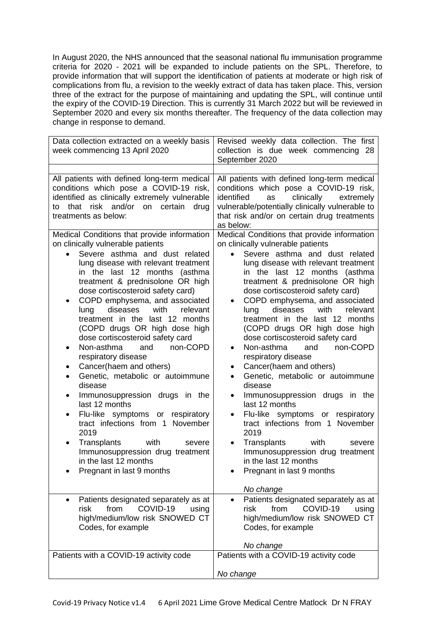In August 2020, the NHS announced that the seasonal national flu immunisation programme criteria for 2020 - 2021 will be expanded to include patients on the SPL. Therefore, to provide information that will support the identification of patients at moderate or high risk of complications from flu, a revision to the weekly extract of data has taken place. This, version three of the extract for the purpose of maintaining and updating the SPL, will continue until the expiry of the COVID-19 Direction. This is currently 31 March 2022 but will be reviewed in September 2020 and every six months thereafter. The frequency of the data collection may change in response to demand.

| Data collection extracted on a weekly basis<br>week commencing 13 April 2020                                                                                                                                                                                                                                                                                                                                                                                                                                                                                                                                                                                                                                                                                                                                                                                                                                                                                                           | Revised weekly data collection. The first<br>collection is due week commencing 28<br>September 2020                                                                                                                                                                                                                                                                                                                                                                                                                                                                                                                                                                                                                                                                                                                                                                                                                                                                                                                                      |
|----------------------------------------------------------------------------------------------------------------------------------------------------------------------------------------------------------------------------------------------------------------------------------------------------------------------------------------------------------------------------------------------------------------------------------------------------------------------------------------------------------------------------------------------------------------------------------------------------------------------------------------------------------------------------------------------------------------------------------------------------------------------------------------------------------------------------------------------------------------------------------------------------------------------------------------------------------------------------------------|------------------------------------------------------------------------------------------------------------------------------------------------------------------------------------------------------------------------------------------------------------------------------------------------------------------------------------------------------------------------------------------------------------------------------------------------------------------------------------------------------------------------------------------------------------------------------------------------------------------------------------------------------------------------------------------------------------------------------------------------------------------------------------------------------------------------------------------------------------------------------------------------------------------------------------------------------------------------------------------------------------------------------------------|
|                                                                                                                                                                                                                                                                                                                                                                                                                                                                                                                                                                                                                                                                                                                                                                                                                                                                                                                                                                                        |                                                                                                                                                                                                                                                                                                                                                                                                                                                                                                                                                                                                                                                                                                                                                                                                                                                                                                                                                                                                                                          |
| All patients with defined long-term medical<br>conditions which pose a COVID-19 risk,<br>identified as clinically extremely vulnerable<br>that risk and/or on certain<br>drug<br>to<br>treatments as below:<br>Medical Conditions that provide information                                                                                                                                                                                                                                                                                                                                                                                                                                                                                                                                                                                                                                                                                                                             | All patients with defined long-term medical<br>conditions which pose a COVID-19 risk,<br>identified<br>clinically<br>as<br>extremely<br>vulnerable/potentially clinically vulnerable to<br>that risk and/or on certain drug treatments<br>as below:<br>Medical Conditions that provide information                                                                                                                                                                                                                                                                                                                                                                                                                                                                                                                                                                                                                                                                                                                                       |
| on clinically vulnerable patients<br>Severe asthma and dust related<br>lung disease with relevant treatment<br>in the last 12 months<br>(asthma<br>treatment & prednisolone OR high<br>dose cortiscosteroid safety card)<br>COPD emphysema, and associated<br>٠<br>diseases<br>with<br>relevant<br>lung<br>treatment in the last 12 months<br>(COPD drugs OR high dose high<br>dose cortiscosteroid safety card<br>Non-asthma<br>non-COPD<br>and<br>٠<br>respiratory disease<br>Cancer(haem and others)<br>Genetic, metabolic or autoimmune<br>disease<br>Immunosuppression drugs in the<br>٠<br>last 12 months<br>Flu-like symptoms or respiratory<br>$\bullet$<br>tract infections from 1 November<br>2019<br>Transplants<br>with<br>severe<br>٠<br>Immunosuppression drug treatment<br>in the last 12 months<br>Pregnant in last 9 months<br>Patients designated separately as at<br>٠<br>COVID-19<br>risk<br>from<br>using<br>high/medium/low risk SNOWED CT<br>Codes, for example | on clinically vulnerable patients<br>Severe asthma and dust related<br>lung disease with relevant treatment<br>in the last 12 months (asthma<br>treatment & prednisolone OR high<br>dose cortiscosteroid safety card)<br>COPD emphysema, and associated<br>$\bullet$<br>diseases<br>with<br>lung<br>relevant<br>treatment in the last 12 months<br>(COPD drugs OR high dose high<br>dose cortiscosteroid safety card<br>Non-asthma<br>non-COPD<br>and<br>$\bullet$<br>respiratory disease<br>Cancer(haem and others)<br>$\bullet$<br>Genetic, metabolic or autoimmune<br>$\bullet$<br>disease<br>Immunosuppression drugs in the<br>$\bullet$<br>last 12 months<br>Flu-like symptoms or respiratory<br>$\bullet$<br>tract infections from 1 November<br>2019<br>Transplants<br>with<br>severe<br>Immunosuppression drug treatment<br>in the last 12 months<br>Pregnant in last 9 months<br>No change<br>Patients designated separately as at<br>from<br>COVID-19<br>risk<br>using<br>high/medium/low risk SNOWED CT<br>Codes, for example |
|                                                                                                                                                                                                                                                                                                                                                                                                                                                                                                                                                                                                                                                                                                                                                                                                                                                                                                                                                                                        | No change                                                                                                                                                                                                                                                                                                                                                                                                                                                                                                                                                                                                                                                                                                                                                                                                                                                                                                                                                                                                                                |
| Patients with a COVID-19 activity code                                                                                                                                                                                                                                                                                                                                                                                                                                                                                                                                                                                                                                                                                                                                                                                                                                                                                                                                                 | Patients with a COVID-19 activity code                                                                                                                                                                                                                                                                                                                                                                                                                                                                                                                                                                                                                                                                                                                                                                                                                                                                                                                                                                                                   |
|                                                                                                                                                                                                                                                                                                                                                                                                                                                                                                                                                                                                                                                                                                                                                                                                                                                                                                                                                                                        | No change                                                                                                                                                                                                                                                                                                                                                                                                                                                                                                                                                                                                                                                                                                                                                                                                                                                                                                                                                                                                                                |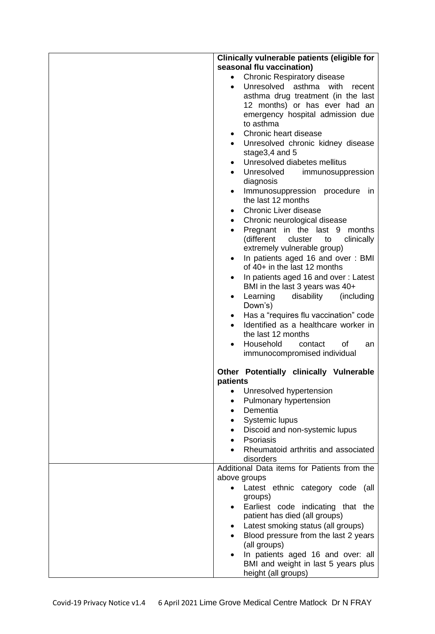| Clinically vulnerable patients (eligible for                                         |
|--------------------------------------------------------------------------------------|
| seasonal flu vaccination)                                                            |
| <b>Chronic Respiratory disease</b><br>$\bullet$                                      |
| Unresolved asthma<br>with<br>recent<br>$\bullet$                                     |
| asthma drug treatment (in the last                                                   |
| 12 months) or has ever had an                                                        |
| emergency hospital admission due                                                     |
| to asthma                                                                            |
| Chronic heart disease<br>$\bullet$                                                   |
| Unresolved chronic kidney disease<br>$\bullet$<br>stage3,4 and 5                     |
| Unresolved diabetes mellitus<br>$\bullet$                                            |
| Unresolved<br>immunosuppression                                                      |
| diagnosis                                                                            |
| Immunosuppression procedure<br>in<br>$\bullet$<br>the last 12 months                 |
| <b>Chronic Liver disease</b><br>$\bullet$                                            |
| Chronic neurological disease<br>$\bullet$                                            |
| Pregnant in the last 9 months<br>$\bullet$                                           |
| (different<br>cluster<br>to<br>clinically<br>extremely vulnerable group)             |
| In patients aged 16 and over: BMI<br>٠                                               |
| of 40+ in the last 12 months                                                         |
| In patients aged 16 and over: Latest<br>$\bullet$<br>BMI in the last 3 years was 40+ |
| Learning<br>disability<br>(including<br>$\bullet$<br>Down's)                         |
| Has a "requires flu vaccination" code<br>$\bullet$                                   |
| Identified as a healthcare worker in<br>$\bullet$<br>the last 12 months              |
| Household<br>οf<br>contact<br>an<br>$\bullet$                                        |
| immunocompromised individual                                                         |
| Other Potentially clinically Vulnerable<br>patients                                  |
| Unresolved hypertension<br>$\bullet$                                                 |
| Pulmonary hypertension<br>$\bullet$                                                  |
| Dementia<br>$\bullet$                                                                |
| Systemic lupus<br>٠                                                                  |
| Discoid and non-systemic lupus                                                       |
| Psoriasis                                                                            |
| Rheumatoid arthritis and associated<br>disorders                                     |
| Additional Data items for Patients from the                                          |
| above groups                                                                         |
| Latest ethnic category code<br>(all                                                  |
| groups)                                                                              |
| Earliest code indicating that the<br>$\bullet$                                       |
| patient has died (all groups)                                                        |
| Latest smoking status (all groups)<br>$\bullet$                                      |
| Blood pressure from the last 2 years                                                 |
| (all groups)                                                                         |
| In patients aged 16 and over: all<br>$\bullet$                                       |
| BMI and weight in last 5 years plus<br>height (all groups)                           |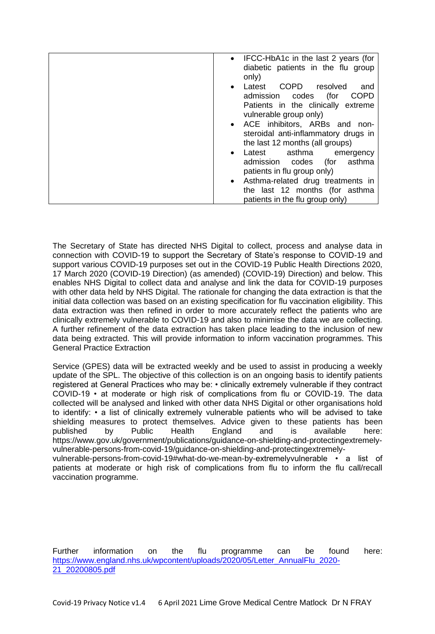| • IFCC-HbA1c in the last 2 years (for<br>diabetic patients in the flu group<br>only)                       |
|------------------------------------------------------------------------------------------------------------|
| COPD resolved<br>Latest<br>and<br>$\bullet$<br>(for<br><b>COPD</b><br>admission codes                      |
| Patients in the clinically extreme<br>vulnerable group only)                                               |
| • ACE inhibitors, ARBs and non-<br>steroidal anti-inflammatory drugs in<br>the last 12 months (all groups) |
| Latest asthma<br>emergency<br>$\bullet$                                                                    |
| asthma<br>admission codes<br>(for                                                                          |
| patients in flu group only)                                                                                |
| • Asthma-related drug treatments in                                                                        |
| the last 12 months (for asthma                                                                             |
| patients in the flu group only)                                                                            |
|                                                                                                            |

The Secretary of State has directed NHS Digital to collect, process and analyse data in connection with COVID-19 to support the Secretary of State's response to COVID-19 and support various COVID-19 purposes set out in the COVID-19 Public Health Directions 2020, 17 March 2020 (COVID-19 Direction) (as amended) (COVID-19) Direction) and below. This enables NHS Digital to collect data and analyse and link the data for COVID-19 purposes with other data held by NHS Digital. The rationale for changing the data extraction is that the initial data collection was based on an existing specification for flu vaccination eligibility. This data extraction was then refined in order to more accurately reflect the patients who are clinically extremely vulnerable to COVID-19 and also to minimise the data we are collecting. A further refinement of the data extraction has taken place leading to the inclusion of new data being extracted. This will provide information to inform vaccination programmes. This General Practice Extraction

Service (GPES) data will be extracted weekly and be used to assist in producing a weekly update of the SPL. The objective of this collection is on an ongoing basis to identify patients registered at General Practices who may be: • clinically extremely vulnerable if they contract COVID-19 • at moderate or high risk of complications from flu or COVID-19. The data collected will be analysed and linked with other data NHS Digital or other organisations hold to identify: • a list of clinically extremely vulnerable patients who will be advised to take shielding measures to protect themselves. Advice given to these patients has been published by Public Health England and is available here: https://www.gov.uk/government/publications/guidance-on-shielding-and-protectingextremelyvulnerable-persons-from-covid-19/guidance-on-shielding-and-protectingextremelyvulnerable-persons-from-covid-19#what-do-we-mean-by-extremelyvulnerable • a list of patients at moderate or high risk of complications from flu to inform the flu call/recall vaccination programme.

Further information on the flu programme can be found here: [https://www.england.nhs.uk/wpcontent/uploads/2020/05/Letter\\_AnnualFlu\\_2020-](https://www.england.nhs.uk/wpcontent/uploads/2020/05/Letter_AnnualFlu_2020-21_20200805.pdf) [21\\_20200805.pdf](https://www.england.nhs.uk/wpcontent/uploads/2020/05/Letter_AnnualFlu_2020-21_20200805.pdf)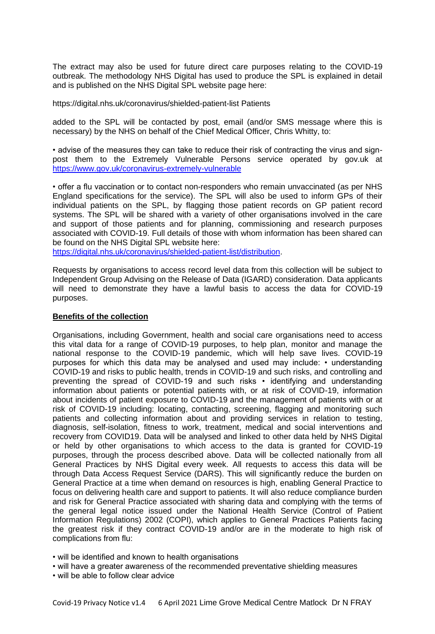The extract may also be used for future direct care purposes relating to the COVID-19 outbreak. The methodology NHS Digital has used to produce the SPL is explained in detail and is published on the NHS Digital SPL website page here:

https://digital.nhs.uk/coronavirus/shielded-patient-list Patients

added to the SPL will be contacted by post, email (and/or SMS message where this is necessary) by the NHS on behalf of the Chief Medical Officer, Chris Whitty, to:

• advise of the measures they can take to reduce their risk of contracting the virus and signpost them to the Extremely Vulnerable Persons service operated by gov.uk at <https://www.gov.uk/coronavirus-extremely-vulnerable>

• offer a flu vaccination or to contact non-responders who remain unvaccinated (as per NHS England specifications for the service). The SPL will also be used to inform GPs of their individual patients on the SPL, by flagging those patient records on GP patient record systems. The SPL will be shared with a variety of other organisations involved in the care and support of those patients and for planning, commissioning and research purposes associated with COVID-19. Full details of those with whom information has been shared can be found on the NHS Digital SPL website here:

[https://digital.nhs.uk/coronavirus/shielded-patient-list/distribution.](https://digital.nhs.uk/coronavirus/shielded-patient-list/distribution)

Requests by organisations to access record level data from this collection will be subject to Independent Group Advising on the Release of Data (IGARD) consideration. Data applicants will need to demonstrate they have a lawful basis to access the data for COVID-19 purposes.

#### **Benefits of the collection**

Organisations, including Government, health and social care organisations need to access this vital data for a range of COVID-19 purposes, to help plan, monitor and manage the national response to the COVID-19 pandemic, which will help save lives. COVID-19 purposes for which this data may be analysed and used may include: • understanding COVID-19 and risks to public health, trends in COVID-19 and such risks, and controlling and preventing the spread of COVID-19 and such risks • identifying and understanding information about patients or potential patients with, or at risk of COVID-19, information about incidents of patient exposure to COVID-19 and the management of patients with or at risk of COVID-19 including: locating, contacting, screening, flagging and monitoring such patients and collecting information about and providing services in relation to testing, diagnosis, self-isolation, fitness to work, treatment, medical and social interventions and recovery from COVID19. Data will be analysed and linked to other data held by NHS Digital or held by other organisations to which access to the data is granted for COVID-19 purposes, through the process described above. Data will be collected nationally from all General Practices by NHS Digital every week. All requests to access this data will be through Data Access Request Service (DARS). This will significantly reduce the burden on General Practice at a time when demand on resources is high, enabling General Practice to focus on delivering health care and support to patients. It will also reduce compliance burden and risk for General Practice associated with sharing data and complying with the terms of the general legal notice issued under the National Health Service (Control of Patient Information Regulations) 2002 (COPI), which applies to General Practices Patients facing the greatest risk if they contract COVID-19 and/or are in the moderate to high risk of complications from flu:

• will be identified and known to health organisations

- will have a greater awareness of the recommended preventative shielding measures
- will be able to follow clear advice